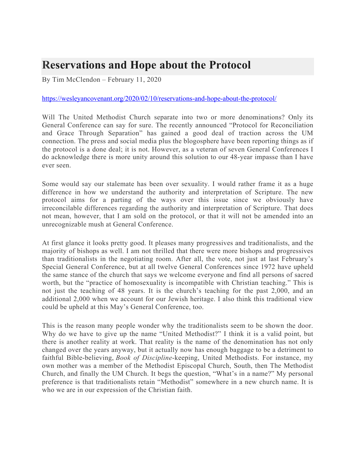## **Reservations and Hope about the Protocol**

By Tim McClendon – February 11, 2020

## https://wesleyancovenant.org/2020/02/10/reservations-and-hope-about-the-protocol/

Will The United Methodist Church separate into two or more denominations? Only its General Conference can say for sure. The recently announced "Protocol for Reconciliation and Grace Through Separation" has gained a good deal of traction across the UM connection. The press and social media plus the blogosphere have been reporting things as if the protocol is a done deal; it is not. However, as a veteran of seven General Conferences I do acknowledge there is more unity around this solution to our 48-year impasse than I have ever seen.

Some would say our stalemate has been over sexuality. I would rather frame it as a huge difference in how we understand the authority and interpretation of Scripture. The new protocol aims for a parting of the ways over this issue since we obviously have irreconcilable differences regarding the authority and interpretation of Scripture. That does not mean, however, that I am sold on the protocol, or that it will not be amended into an unrecognizable mush at General Conference.

At first glance it looks pretty good. It pleases many progressives and traditionalists, and the majority of bishops as well. I am not thrilled that there were more bishops and progressives than traditionalists in the negotiating room. After all, the vote, not just at last February's Special General Conference, but at all twelve General Conferences since 1972 have upheld the same stance of the church that says we welcome everyone and find all persons of sacred worth, but the "practice of homosexuality is incompatible with Christian teaching." This is not just the teaching of 48 years. It is the church's teaching for the past 2,000, and an additional 2,000 when we account for our Jewish heritage. I also think this traditional view could be upheld at this May's General Conference, too.

This is the reason many people wonder why the traditionalists seem to be shown the door. Why do we have to give up the name "United Methodist?" I think it is a valid point, but there is another reality at work. That reality is the name of the denomination has not only changed over the years anyway, but it actually now has enough baggage to be a detriment to faithful Bible-believing, *Book of Discipline*-keeping, United Methodists. For instance, my own mother was a member of the Methodist Episcopal Church, South, then The Methodist Church, and finally the UM Church. It begs the question, "What's in a name?" My personal preference is that traditionalists retain "Methodist" somewhere in a new church name. It is who we are in our expression of the Christian faith.